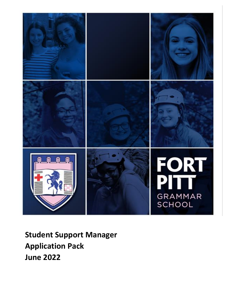

**Student Support Manager Application Pack June 2022**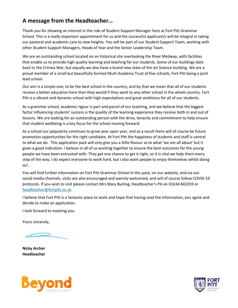### **A message from the Headteacher…**

Thank you for showing an interest in the role of Student Support Manager here at Fort Pitt Grammar School. This is a really important appointment for us and the successful applicant/s will be integral in taking our pastoral and academic care to new heights. You will be part of our Student Support Team, working with other Student Support Managers, Heads of Year and the Senior Leadership Team.

We are an outstanding school located on an historical site overlooking the River Medway, with facilities that enable us to provide high quality learning and teaching for our students. Some of our buildings date back to the Crimea War, but equally we also have a brand new state of the art Science building. We are a proud member of a small but beautifully formed Multi Academy Trust of five schools, Fort Pitt being a joint lead school.

Our aim is a simple one; to be the best school in the country, and by that we mean that all of our students receive a better education here than they would if they went to any other school in the whole country. Fort Pitt is a vibrant and dynamic school with high expectations and great ambitions for all of our students.

As a grammar school, academic rigour is part and parcel of our teaching, and we believe that the biggest factor influencing students' success is the quality of the learning experience they receive both in and out of lessons. We are looking for an outstanding person with the drive, tenacity and commitment to help ensure that student wellbeing is a key focus for the school moving forward.

As a school our popularity continues to grow year upon year, and as a result there will of course be future promotion opportunities for the right candidate. At Fort Pitt the happiness of students and staff is central to what we do. This application pack will only give you a little flavour as to what 'we are all about' but it gives a good indication. I believe in all of us working together to ensure the best outcomes for the young people we have been entrusted with. They get one chance to get it right, so it is vital we help them every step of the way. I do expect everyone to work hard, but I also want people to enjoy themselves whilst doing so!

You will find further information on Fort Pitt Grammar School in this pack, on our website, and via our social media channels, visits are also encouraged and warmly welcomed, and will of course follow COVID-19 protocols. If you wish to visit please contact Mrs Mary Burling, Headteacher's PA on 01634 842359 or [headteacher@fortpitt.co.uk.](mailto:headteacher@fortpitt.co.uk)

I believe that Fort Pitt is a fantastic place to work and hope that having read the information, you agree and decide to make an application.

I look forward to meeting you.

Yours sincerely,

**Nicky Archer Headteacher**



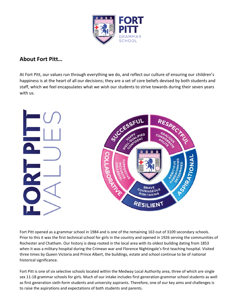

### **About Fort Pitt…**

At Fort Pitt, our values run through everything we do, and reflect our culture of ensuring our children's happiness is at the heart of all our decisions; they are a set of core beliefs devised by both students and staff, which we feel encapsulates what we wish our students to strive towards during their seven years with us.



Fort Pitt opened as a grammar school in 1984 and is one of the remaining 163 out of 3109 secondary schools. Prior to this it was the first technical school for girls in the country and opened in 1926 serving the communities of Rochester and Chatham. Our history is deep rooted in the local area with its oldest building dating from 1853 when it was a military hospital during the Crimean war and Florence Nightingale's first teaching hospital. Visited three times by Queen Victoria and Prince Albert, the buildings, estate and school continue to be of national historical significance.

Fort Pitt is one of six selective schools located within the Medway Local Authority area, three of which are single sex 11-18 grammar schools for girls. Much of our intake includes first generation grammar school students as well as first generation sixth-form students and university aspirants. Therefore, one of our key aims and challenges is to raise the aspirations and expectations of both students and parents.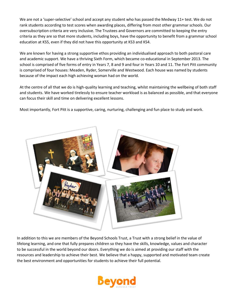We are not a 'super-selective' school and accept any student who has passed the Medway 11+ test. We do not rank students according to test scores when awarding places, differing from most other grammar schools. Our oversubscription criteria are very inclusive. The Trustees and Governors are committed to keeping the entry criteria as they are so that more students, including boys, have the opportunity to benefit from a grammar school education at KS5, even if they did not have this opportunity at KS3 and KS4.

We are known for having a strong supportive ethos providing an individualised approach to both pastoral care and academic support. We have a thriving Sixth Form, which became co-educational in September 2013. The school is comprised of five forms of entry in Years 7, 8 and 9 and four in Years 10 and 11. The Fort Pitt community is comprised of four houses: Meaden, Ryder, Somerville and Westwood. Each house was named by students because of the impact each high achieving woman had on the world.

At the centre of all that we do is high-quality learning and teaching, whilst maintaining the wellbeing of both staff and students. We have worked tirelessly to ensure teacher workload is as balanced as possible, and that everyone can focus their skill and time on delivering excellent lessons.

Most importantly, Fort Pitt is a supportive, caring, nurturing, challenging and fun place to study and work.



In addition to this we are members of the Beyond Schools Trust, a Trust with a strong belief in the value of lifelong learning, and one that fully prepares children so they have the skills, knowledge, values and character to be successful in the world beyond our doors. Everything we do is aimed at providing our staff with the resources and leadership to achieve their best. We believe that a happy, supported and motivated team create the best environment and opportunities for students to achieve their full potential.

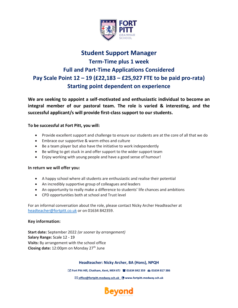

# **Student Support Manager Term-Time plus 1 week Full and Part-Time Applications Considered Pay Scale Point 12 – 19 (£22,183 – £25,927 FTE to be paid pro-rata) Starting point dependent on experience**

**We are seeking to appoint a self-motivated and enthusiastic individual to become an integral member of our pastoral team. The role is varied & interesting, and the successful applicant/s will provide first-class support to our students.** 

### **To be successful at Fort Pitt, you will:**

- Provide excellent support and challenge to ensure our students are at the core of all that we do
- Embrace our supportive & warm ethos and culture
- Be a team player but also have the initiative to work independently
- Be willing to get stuck in and offer support to the wider support team
- Enjoy working with young people and have a good sense of humour!

#### **In return we will offer you:**

- A happy school where all students are enthusiastic and realise their potential
- An incredibly supportive group of colleagues and leaders
- An opportunity to really make a difference to students' life chances and ambitions
- CPD opportunities both at school and Trust level

For an informal conversation about the role, please contact Nicky Archer Headteacher at [headteacher@fortpitt.co.uk](mailto:headteacher@fortpitt.co.uk) or on 01634 842359.

#### **Key information:**

**Start date:** September 2022 *(or sooner by arrangement)* **Salary Range:** Scale 12 - 19 **Visits:** By arrangement with the school office Closing date: 12:00pm on Monday 27<sup>th</sup> June

**Headteacher: Nicky Archer, BA (Hons), NPQH**

**Fort Pitt Hill, Chatham, Kent, ME4 6TJ 01634 842 359 01634 817 386**

**[office@fortpitt.medway.sch.uk](mailto:%20office@fortpitt.medway.sch.uk)  www.fortpitt.medway.sch.uk**

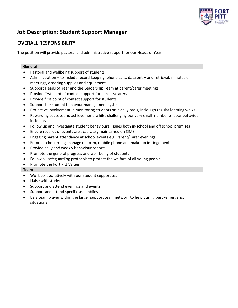

### **Job Description: Student Support Manager**

### **OVERALL RESPONSIBILITY**

The position will provide pastoral and administrative support for our Heads of Year.

| General   |                                                                                                            |  |
|-----------|------------------------------------------------------------------------------------------------------------|--|
| $\bullet$ | Pastoral and wellbeing support of students                                                                 |  |
| $\bullet$ | Administration - to include record keeping, phone calls, data entry and retrieval, minutes of              |  |
|           | meetings, ordering supplies and equipment                                                                  |  |
| $\bullet$ | Support Heads of Year and the Leadership Team at parent/carer meetings.                                    |  |
| $\bullet$ | Provide first point of contact support for parents/carers                                                  |  |
| $\bullet$ | Provide first point of contact support for students                                                        |  |
| $\bullet$ | Support the student behavour management systesm                                                            |  |
| $\bullet$ | Pro-active involvement in monitoring students on a daily basis, inclduign regular learning walks.          |  |
| $\bullet$ | Rewarding success and achievement, whilst challenging our very small number of poor behaviour<br>incidents |  |
| $\bullet$ | Follow up and investigate student behavioural issues both in-school and off school premises                |  |
| $\bullet$ | Ensure records of events are accurately maintained on SIMS                                                 |  |
| $\bullet$ | Engaging parent attendance at school events e.g. Parent/Carer evenings                                     |  |
| $\bullet$ | Enforce school rules; manage uniform, mobile phone and make-up infringements.                              |  |
| $\bullet$ | Provide daily and weekly behaviour reports                                                                 |  |
| $\bullet$ | Promote the general progress and well-being of students                                                    |  |
| $\bullet$ | Follow all safeguarding protocols to protect the welfare of all young people                               |  |
| $\bullet$ | Promote the Fort Pitt Values                                                                               |  |

#### **Team**

- Work collaboratively with our student support team
- Liaise with students
- Support and attend evenings and events
- Support and attend specific assemblies
- Be a team player within the larger support team network to help during busy/emergency situations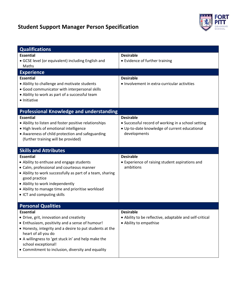# **Student Support Manager Person Specification**



| <b>Qualifications</b>                                                                                                                                                                                                                                                                                                                 |                                                                                                                                         |  |  |
|---------------------------------------------------------------------------------------------------------------------------------------------------------------------------------------------------------------------------------------------------------------------------------------------------------------------------------------|-----------------------------------------------------------------------------------------------------------------------------------------|--|--|
| <b>Essential</b><br>• GCSE level (or equivalent) including English and<br>Maths                                                                                                                                                                                                                                                       | <b>Desirable</b><br>• Evidence of further training                                                                                      |  |  |
| <b>Experience</b>                                                                                                                                                                                                                                                                                                                     |                                                                                                                                         |  |  |
| <b>Essential</b><br>• Ability to challenge and motivate students<br>· Good communicator with interpersonal skills<br>• Ability to work as part of a successful team<br>• Initiative                                                                                                                                                   | <b>Desirable</b><br>• Involvement in extra-curricular activities                                                                        |  |  |
| <b>Professional Knowledge and understanding</b>                                                                                                                                                                                                                                                                                       |                                                                                                                                         |  |  |
| <b>Essential</b><br>• Ability to listen and foster positive relationships<br>· High levels of emotional intelligence<br>• Awareness of child protection and safeguarding<br>(further training will be provided)                                                                                                                       | <b>Desirable</b><br>• Successful record of working in a school setting<br>· Up-to-date knowledge of current educational<br>developments |  |  |
| <b>Skills and Attributes</b>                                                                                                                                                                                                                                                                                                          |                                                                                                                                         |  |  |
| <b>Essential</b><br>• Ability to enthuse and engage students<br>• Calm, professional and courteous manner<br>• Ability to work successfully as part of a team, sharing<br>good practice<br>• Ability to work independently<br>• Ability to manage time and prioritise workload<br>• ICT and computing skills                          | <b>Desirable</b><br>• Experience of raising student aspirations and<br>ambitions                                                        |  |  |
| <b>Personal Qualities</b>                                                                                                                                                                                                                                                                                                             |                                                                                                                                         |  |  |
| <b>Essential</b><br>• Drive, grit, innovation and creativity<br>• Enthusiasm, positivity and a sense of humour!<br>• Honesty, integrity and a desire to put students at the<br>heart of all you do<br>• A willingness to 'get stuck in' and help make the<br>school exceptional!<br>• Commitment to inclusion, diversity and equality | <b>Desirable</b><br>• Ability to be reflective, adaptable and self-critical<br>• Ability to empathise                                   |  |  |